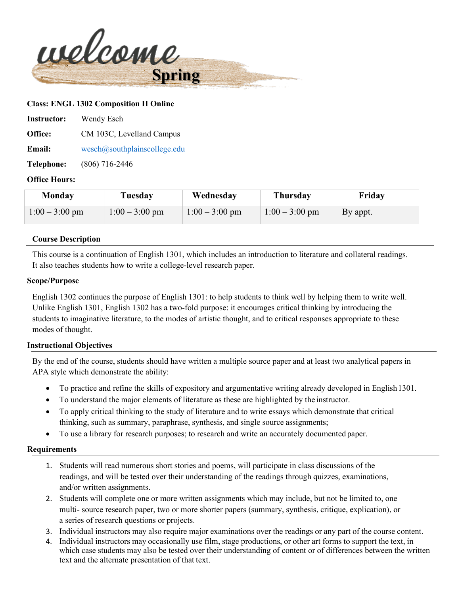

### **Class: ENGL 1302 Composition II Online**

| <b>Instructor:</b> | Wendy Esch                    |
|--------------------|-------------------------------|
| Office:            | CM 103C, Levelland Campus     |
| <b>Email:</b>      | wesch@southplain scollege.edu |
| <b>Telephone:</b>  | $(806)$ 716-2446              |

### **Office Hours:**

| Monday           | Tuesday          | Wednesday        | <b>Thursday</b>  | Friday   |
|------------------|------------------|------------------|------------------|----------|
| $1:00 - 3:00$ pm | $1:00 - 3:00$ pm | $1:00 - 3:00$ pm | $1:00 - 3:00$ pm | By appt. |

### **Course Description**

This course is a continuation of English 1301, which includes an introduction to literature and collateral readings. It also teaches students how to write a college-level research paper.

### **Scope/Purpose**

English 1302 continues the purpose of English 1301: to help students to think well by helping them to write well. Unlike English 1301, English 1302 has a two-fold purpose: it encourages critical thinking by introducing the students to imaginative literature, to the modes of artistic thought, and to critical responses appropriate to these modes of thought.

### **Instructional Objectives**

By the end of the course, students should have written a multiple source paper and at least two analytical papers in APA style which demonstrate the ability:

- To practice and refine the skills of expository and argumentative writing already developed in English 1301.
- To understand the major elements of literature as these are highlighted by the instructor.
- To apply critical thinking to the study of literature and to write essays which demonstrate that critical thinking, such as summary, paraphrase, synthesis, and single source assignments;
- To use a library for research purposes; to research and write an accurately documented paper.

### **Requirements**

- 1. Students will read numerous short stories and poems, will participate in class discussions of the readings, and will be tested over their understanding of the readings through quizzes, examinations, and/or written assignments.
- 2. Students will complete one or more written assignments which may include, but not be limited to, one multi- source research paper, two or more shorter papers (summary, synthesis, critique, explication), or a series of research questions or projects.
- 3. Individual instructors may also require major examinations over the readings or any part of the course content.
- 4. Individual instructors may occasionally use film, stage productions, or other art forms to support the text, in which case students may also be tested over their understanding of content or of differences between the written text and the alternate presentation of that text.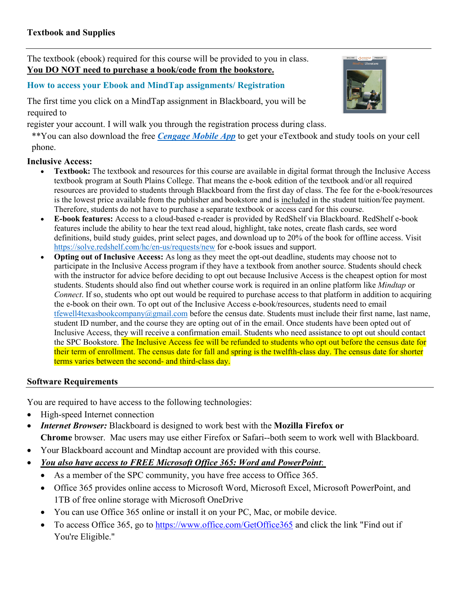The textbook (ebook) required for this course will be provided to you in class. **You DO NOT need to purchase a book/code from the bookstore.**

# **How to access your Ebook and MindTap assignments/ Registration**

The first time you click on a MindTap assignment in Blackboard, you will be required to

register your account. I will walk you through the registration process during class.

\*\*You can also download the free *[Cengage Mobile App](https://www.cengage.com/mobile-app/)* to get your eTextbook and study tools on your cell phone.

# **Inclusive Access:**

- **Textbook:** The textbook and resources for this course are available in digital format through the Inclusive Access textbook program at South Plains College. That means the e-book edition of the textbook and/or all required resources are provided to students through Blackboard from the first day of class. The fee for the e-book/resources is the lowest price available from the publisher and bookstore and is included in the student tuition/fee payment. Therefore, students do not have to purchase a separate textbook or access card for this course.
- **E-book features:** Access to a cloud-based e-reader is provided by RedShelf via Blackboard. RedShelf e-book features include the ability to hear the text read aloud, highlight, take notes, create flash cards, see word definitions, build study guides, print select pages, and download up to 20% of the book for offline access. Visit <https://solve.redshelf.com/hc/en-us/requests/new> for e-book issues and support.
- **Opting out of Inclusive Access:** As long as they meet the opt-out deadline, students may choose not to participate in the Inclusive Access program if they have a textbook from another source. Students should check with the instructor for advice before deciding to opt out because Inclusive Access is the cheapest option for most students. Students should also find out whether course work is required in an online platform like *Mindtap* or *Connect*. If so, students who opt out would be required to purchase access to that platform in addition to acquiring the e-book on their own. To opt out of the Inclusive Access e-book/resources, students need to email [tfewell4texasbookcompany@gmail.com](mailto:tfewell4texasbookcompany@gmail.com) before the census date. Students must include their first name, last name, student ID number, and the course they are opting out of in the email. Once students have been opted out of Inclusive Access, they will receive a confirmation email. Students who need assistance to opt out should contact the SPC Bookstore. The Inclusive Access fee will be refunded to students who opt out before the census date for their term of enrollment. The census date for fall and spring is the twelfth-class day. The census date for shorter terms varies between the second- and third-class day.

# **Software Requirements**

You are required to have access to the following technologies:

- High-speed Internet connection
- *Internet Browser:* Blackboard is designed to work best with the **Mozilla Firefox or Chrome** browser. Mac users may use either Firefox or Safari--both seem to work well with Blackboard.
- Your Blackboard account and Mindtap account are provided with this course.
- *You also have access to FREE Microsoft Office 365: Word and PowerPoint*:
	- As a member of the SPC community, you have free access to Office 365.
	- Office 365 provides online access to Microsoft Word, Microsoft Excel, Microsoft PowerPoint, and 1TB of free online storage with Microsoft OneDrive
	- You can use Office 365 online or install it on your PC, Mac, or mobile device.
	- To access Office 365, go to <https://www.office.com/GetOffice365> and click the link "Find out if You're Eligible."

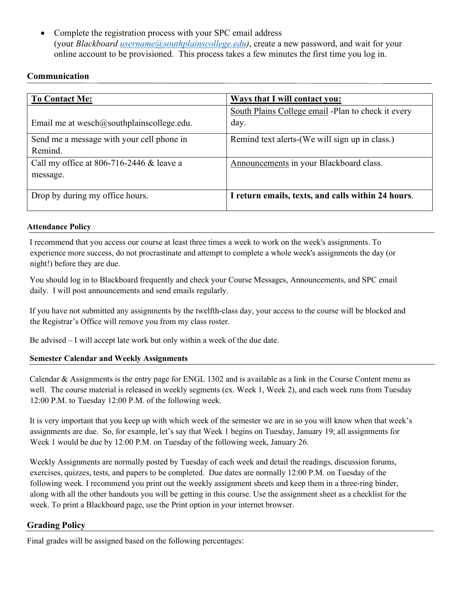• Complete the registration process with your SPC email address (your *Blackboard [username@southplainscollege.edu\)](mailto:username@southplainscollege.edu)*, create a new password, and wait for your online account to be provisioned. This process takes a few minutes the first time you log in.

# **Communication**

| <b>To Contact Me:</b>                         | <b>Ways that I will contact you:</b>               |
|-----------------------------------------------|----------------------------------------------------|
|                                               | South Plains College email -Plan to check it every |
| Email me at wesch $@$ southplainscollege.edu. | day.                                               |
| Send me a message with your cell phone in     | Remind text alerts-(We will sign up in class.)     |
| Remind.                                       |                                                    |
| Call my office at 806-716-2446 $&$ leave a    | Announcements in your Blackboard class.            |
| message.                                      |                                                    |
|                                               |                                                    |
| Drop by during my office hours.               | I return emails, texts, and calls within 24 hours. |

### **Attendance Policy**

I recommend that you access our course at least three times a week to work on the week's assignments. To experience more success, do not procrastinate and attempt to complete a whole week's assignments the day (or night!) before they are due.

You should log in to Blackboard frequently and check your Course Messages, Announcements, and SPC email daily. I will post announcements and send emails regularly.

If you have not submitted any assignments by the twelfth-class day, your access to the course will be blocked and the Registrar's Office will remove you from my class roster.

Be advised – I will accept late work but only within a week of the due date.

# **Semester Calendar and Weekly Assignments**

Calendar & Assignments is the entry page for ENGL 1302 and is available as a link in the Course Content menu as well. The course material is released in weekly segments (ex. Week 1, Week 2), and each week runs from Tuesday 12:00 P.M. to Tuesday 12:00 P.M. of the following week.

It is very important that you keep up with which week of the semester we are in so you will know when that week's assignments are due. So, for example, let's say that Week 1 begins on Tuesday, January 19; all assignments for Week 1 would be due by 12:00 P.M. on Tuesday of the following week, January 26.

Weekly Assignments are normally posted by Tuesday of each week and detail the readings, discussion forums, exercises, quizzes, tests, and papers to be completed. Due dates are normally 12:00 P.M. on Tuesday of the following week. I recommend you print out the weekly assignment sheets and keep them in a three-ring binder, along with all the other handouts you will be getting in this course. Use the assignment sheet as a checklist for the week. To print a Blackboard page, use the Print option in your internet browser.

# **Grading Policy**

Final grades will be assigned based on the following percentages: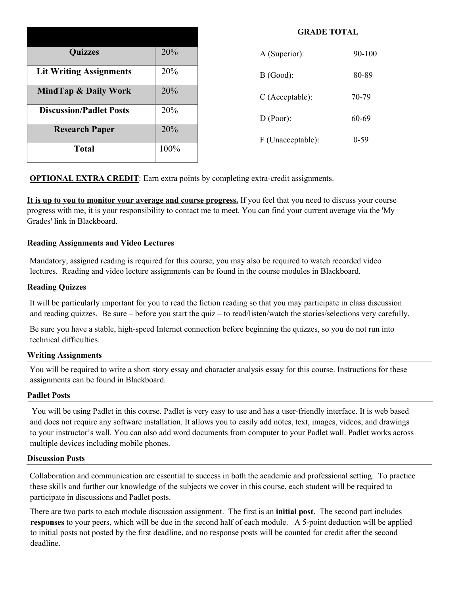| <b>Quizzes</b>                 | 20%  |
|--------------------------------|------|
| <b>Lit Writing Assignments</b> | 20%  |
| MindTap & Daily Work           | 20%  |
| <b>Discussion/Padlet Posts</b> | 20%  |
| <b>Research Paper</b>          | 20%  |
| <b>Total</b>                   | 100% |

| A (Superior):     | $90 - 100$ |
|-------------------|------------|
| $B$ (Good):       | 80-89      |
| $C$ (Acceptable): | 70-79      |
| D (Poor):         | 60-69      |
| F (Unacceptable): | ()-59      |

**GRADE TOTAL**

**OPTIONAL EXTRA CREDIT:** Earn extra points by completing extra-credit assignments.

**It is up to you to monitor your average and course progress.** If you feel that you need to discuss your course progress with me, it is your responsibility to contact me to meet. You can find your current average via the 'My Grades' link in Blackboard.

### **Reading Assignments and Video Lectures**

Mandatory, assigned reading is required for this course; you may also be required to watch recorded video lectures. Reading and video lecture assignments can be found in the course modules in Blackboard.

#### **Reading Quizzes**

It will be particularly important for you to read the fiction reading so that you may participate in class discussion and reading quizzes. Be sure – before you start the quiz – to read/listen/watch the stories/selections very carefully.

Be sure you have a stable, high-speed Internet connection before beginning the quizzes, so you do not run into technical difficulties.

#### **Writing Assignments**

You will be required to write a short story essay and character analysis essay for this course. Instructions for these assignments can be found in Blackboard.

#### **Padlet Posts**

You will be using Padlet in this course. Padlet is very easy to use and has a user-friendly interface. It is web based and does not require any software installation. It allows you to easily add notes, text, images, videos, and drawings to your instructor's wall. You can also add word documents from computer to your Padlet wall. Padlet works across multiple devices including mobile phones.

#### **Discussion Posts**

Collaboration and communication are essential to success in both the academic and professional setting. To practice these skills and further our knowledge of the subjects we cover in this course, each student will be required to participate in discussions and Padlet posts.

There are two parts to each module discussion assignment. The first is an **initial post**. The second part includes **responses** to your peers, which will be due in the second half of each module. A 5-point deduction will be applied to initial posts not posted by the first deadline, and no response posts will be counted for credit after the second deadline.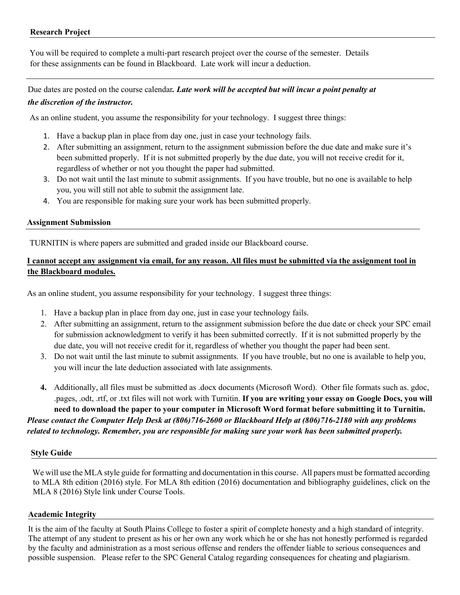# **Research Project**

You will be required to complete a multi-part research project over the course of the semester. Details for these assignments can be found in Blackboard. Late work will incur a deduction.

Due dates are posted on the course calendar*. Late work will be accepted but will incur a point penalty at the discretion of the instructor.*

As an online student, you assume the responsibility for your technology. I suggest three things:

- 1. Have a backup plan in place from day one, just in case your technology fails.
- 2. After submitting an assignment, return to the assignment submission before the due date and make sure it's been submitted properly. If it is not submitted properly by the due date, you will not receive credit for it, regardless of whether or not you thought the paper had submitted.
- 3. Do not wait until the last minute to submit assignments. If you have trouble, but no one is available to help you, you will still not able to submit the assignment late.
- 4. You are responsible for making sure your work has been submitted properly.

# **Assignment Submission**

TURNITIN is where papers are submitted and graded inside our Blackboard course.

# **I cannot accept any assignment via email, for any reason. All files must be submitted via the assignment tool in the Blackboard modules.**

As an online student, you assume responsibility for your technology. I suggest three things:

- 1. Have a backup plan in place from day one, just in case your technology fails.
- 2. After submitting an assignment, return to the assignment submission before the due date or check your SPC email for submission acknowledgment to verify it has been submitted correctly. If it is not submitted properly by the due date, you will not receive credit for it, regardless of whether you thought the paper had been sent.
- 3. Do not wait until the last minute to submit assignments. If you have trouble, but no one is available to help you, you will incur the late deduction associated with late assignments.
- **4.** Additionally, all files must be submitted as .docx documents (Microsoft Word). Other file formats such as. gdoc, .pages, .odt, .rtf, or .txt files will not work with Turnitin. **If you are writing your essay on Google Docs, you will need to download the paper to your computer in Microsoft Word format before submitting it to Turnitin.**

*Please contact the Computer Help Desk at (806)716-2600 or Blackboard Help at (806)716-2180 with any problems related to technology. Remember, you are responsible for making sure your work has been submitted properly.*

### **Style Guide**

We will use the MLA style guide for formatting and documentation in this course. All papers must be formatted according to MLA 8th edition (2016) style. For MLA 8th edition (2016) documentation and bibliography guidelines, click on the MLA 8 (2016) Style link under Course Tools.

# **Academic Integrity**

It is the aim of the faculty at South Plains College to foster a spirit of complete honesty and a high standard of integrity. The attempt of any student to present as his or her own any work which he or she has not honestly performed is regarded by the faculty and administration as a most serious offense and renders the offender liable to serious consequences and possible suspension. Please refer to the SPC General Catalog regarding consequences for cheating and plagiarism.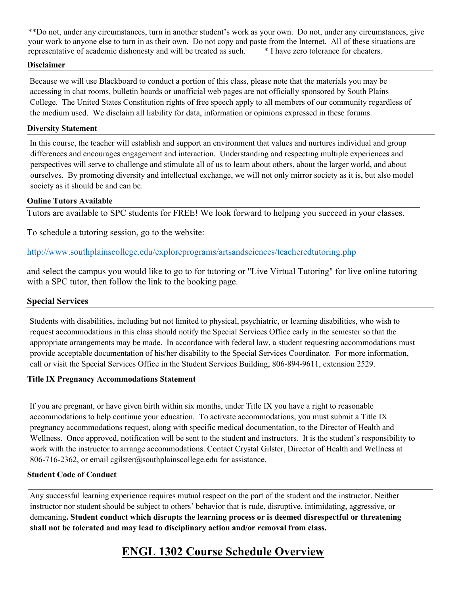\*\*Do not, under any circumstances, turn in another student's work as your own. Do not, under any circumstances, give your work to anyone else to turn in as their own. Do not copy and paste from the Internet. All of these situations are representative of academic dishonesty and will be treated as such. \* I have zero tolerance for cheaters.

### **Disclaimer**

Because we will use Blackboard to conduct a portion of this class, please note that the materials you may be accessing in chat rooms, bulletin boards or unofficial web pages are not officially sponsored by South Plains College. The United States Constitution rights of free speech apply to all members of our community regardless of the medium used. We disclaim all liability for data, information or opinions expressed in these forums.

### **Diversity Statement**

In this course, the teacher will establish and support an environment that values and nurtures individual and group differences and encourages engagement and interaction. Understanding and respecting multiple experiences and perspectives will serve to challenge and stimulate all of us to learn about others, about the larger world, and about ourselves. By promoting diversity and intellectual exchange, we will not only mirror society as it is, but also model society as it should be and can be.

# **Online Tutors Available**

Tutors are available to SPC students for FREE! We look forward to helping you succeed in your classes.

To schedule a tutoring session, go to the website:

<http://www.southplainscollege.edu/exploreprograms/artsandsciences/teacheredtutoring.php>

and select the campus you would like to go to for tutoring or "Live Virtual Tutoring" for live online tutoring with a SPC tutor, then follow the link to the booking page.

# **Special Services**

Students with disabilities, including but not limited to physical, psychiatric, or learning disabilities, who wish to request accommodations in this class should notify the Special Services Office early in the semester so that the appropriate arrangements may be made. In accordance with federal law, a student requesting accommodations must provide acceptable documentation of his/her disability to the Special Services Coordinator. For more information, call or visit the Special Services Office in the Student Services Building, 806-894-9611, extension 2529.

# **Title IX Pregnancy Accommodations Statement**

If you are pregnant, or have given birth within six months, under Title IX you have a right to reasonable accommodations to help continue your education. To activate accommodations, you must submit a Title IX pregnancy accommodations request, along with specific medical documentation, to the Director of Health and Wellness. Once approved, notification will be sent to the student and instructors. It is the student's responsibility to work with the instructor to arrange accommodations. Contact Crystal Gilster, Director of Health and Wellness at 806-716-2362, or email cgilster@southplainscollege.edu for assistance.

### **Student Code of Conduct**

Any successful learning experience requires mutual respect on the part of the student and the instructor. Neither instructor nor student should be subject to others' behavior that is rude, disruptive, intimidating, aggressive, or demeaning**. Student conduct which disrupts the learning process or is deemed disrespectful or threatening shall not be tolerated and may lead to disciplinary action and/or removal from class.** 

# **ENGL 1302 Course Schedule Overview**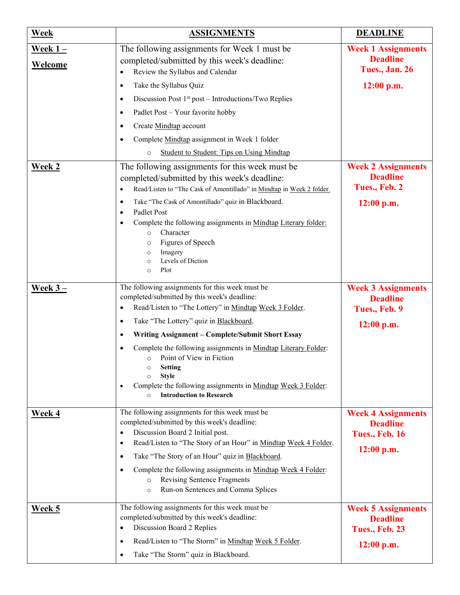| Week                               | <b>ASSIGNMENTS</b>                                                                                                                                                                                                                                                                                                                                                                                                                                                                                                                                                                                                                                                                                                                                                                                                                       | <b>DEADLINE</b>                                                                             |
|------------------------------------|------------------------------------------------------------------------------------------------------------------------------------------------------------------------------------------------------------------------------------------------------------------------------------------------------------------------------------------------------------------------------------------------------------------------------------------------------------------------------------------------------------------------------------------------------------------------------------------------------------------------------------------------------------------------------------------------------------------------------------------------------------------------------------------------------------------------------------------|---------------------------------------------------------------------------------------------|
| <u>Week 1 – </u><br><b>Welcome</b> | The following assignments for Week 1 must be<br>completed/submitted by this week's deadline:<br>Review the Syllabus and Calendar<br>$\bullet$                                                                                                                                                                                                                                                                                                                                                                                                                                                                                                                                                                                                                                                                                            | <b>Week 1 Assignments</b><br><b>Deadline</b><br>Tues., Jan. 26                              |
| <b>Week 2</b>                      | Take the Syllabus Quiz<br>$\bullet$<br>Discussion Post $1st$ post – Introductions/Two Replies<br>$\bullet$<br>Padlet Post - Your favorite hobby<br>$\bullet$<br>Create Mindtap account<br>$\bullet$<br>Complete Mindtap assignment in Week 1 folder<br>$\bullet$<br><b>Student to Student: Tips on Using Mindtap</b><br>$\circ$<br>The following assignments for this week must be.<br>completed/submitted by this week's deadline:<br>Read/Listen to "The Cask of Amontillado" in Mindtap in Week 2 folder.<br>$\bullet$<br>Take "The Cask of Amontillado" quiz in Blackboard.<br>$\bullet$<br>Padlet Post<br>$\bullet$<br>Complete the following assignments in Mindtap Literary folder:<br>$\bullet$<br>Character<br>$\circ$<br>Figures of Speech<br>$\circ$<br>Imagery<br>$\circ$<br>Levels of Diction<br>$\circ$<br>Plot<br>$\circ$ | 12:00 p.m.<br><b>Week 2 Assignments</b><br><b>Deadline</b><br>Tues., Feb. 2<br>$12:00$ p.m. |
| Week $3-$                          | The following assignments for this week must be<br>completed/submitted by this week's deadline:<br>Read/Listen to "The Lottery" in Mindtap Week 3 Folder.<br>$\bullet$<br>Take "The Lottery" quiz in Blackboard.<br>$\bullet$<br>Writing Assignment - Complete/Submit Short Essay<br>$\bullet$<br>Complete the following assignments in Mindtap Literary Folder:<br>$\bullet$<br>Point of View in Fiction<br>$\circ$<br><b>Setting</b><br>$\circ$<br><b>Style</b><br>$\circ$<br>Complete the following assignments in Mindtap Week 3 Folder:<br>٠<br><b>Introduction to Research</b><br>$\circ$                                                                                                                                                                                                                                          | <b>Week 3 Assignments</b><br><b>Deadline</b><br>Tues., Feb. 9<br>12:00 p.m.                 |
| Week 4                             | The following assignments for this week must be<br>completed/submitted by this week's deadline:<br>Discussion Board 2 Initial post.<br>$\bullet$<br>Read/Listen to "The Story of an Hour" in Mindtap Week 4 Folder.<br>$\bullet$<br>Take "The Story of an Hour" quiz in Blackboard.<br>$\bullet$<br>Complete the following assignments in Mindtap Week 4 Folder:<br>$\bullet$<br><b>Revising Sentence Fragments</b><br>$\circ$<br>Run-on Sentences and Comma Splices<br>$\circ$                                                                                                                                                                                                                                                                                                                                                          | <b>Week 4 Assignments</b><br><b>Deadline</b><br><b>Tues., Feb. 16</b><br>$12:00$ p.m.       |
| <b>Week 5</b>                      | The following assignments for this week must be<br>completed/submitted by this week's deadline:<br>Discussion Board 2 Replies<br>$\bullet$<br>Read/Listen to "The Storm" in Mindtap Week 5 Folder.<br>$\bullet$<br>Take "The Storm" quiz in Blackboard.<br>$\bullet$                                                                                                                                                                                                                                                                                                                                                                                                                                                                                                                                                                     | <b>Week 5 Assignments</b><br><b>Deadline</b><br><b>Tues., Feb. 23</b><br>$12:00$ p.m.       |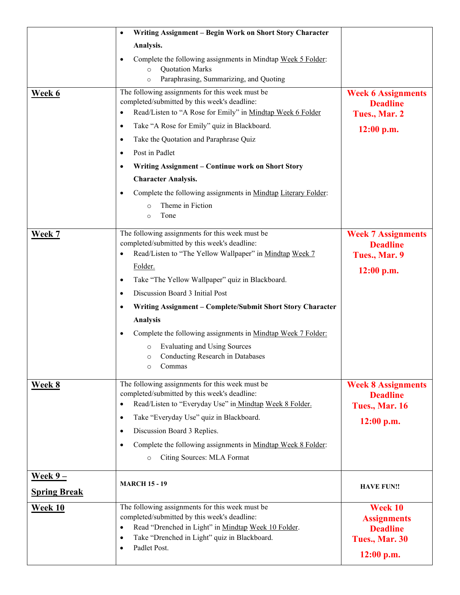|                     | Writing Assignment - Begin Work on Short Story Character<br>$\bullet$                                              |                                              |
|---------------------|--------------------------------------------------------------------------------------------------------------------|----------------------------------------------|
|                     | Analysis.                                                                                                          |                                              |
|                     | Complete the following assignments in Mindtap Week 5 Folder:<br>$\bullet$<br><b>Quotation Marks</b><br>$\circ$     |                                              |
|                     | Paraphrasing, Summarizing, and Quoting<br>$\circ$                                                                  |                                              |
| Week 6              | The following assignments for this week must be<br>completed/submitted by this week's deadline:                    | <b>Week 6 Assignments</b><br><b>Deadline</b> |
|                     | Read/Listen to "A Rose for Emily" in Mindtap Week 6 Folder<br>$\bullet$                                            | Tues., Mar. 2                                |
|                     | Take "A Rose for Emily" quiz in Blackboard.<br>$\bullet$                                                           | 12:00 p.m.                                   |
|                     | Take the Quotation and Paraphrase Quiz<br>$\bullet$                                                                |                                              |
|                     | Post in Padlet<br>$\bullet$                                                                                        |                                              |
|                     | Writing Assignment - Continue work on Short Story<br>$\bullet$                                                     |                                              |
|                     | <b>Character Analysis.</b>                                                                                         |                                              |
|                     | Complete the following assignments in Mindtap Literary Folder:<br>$\bullet$                                        |                                              |
|                     | Theme in Fiction<br>$\circ$<br>Tone<br>$\circ$                                                                     |                                              |
| Week 7              | The following assignments for this week must be                                                                    | <b>Week 7 Assignments</b>                    |
|                     | completed/submitted by this week's deadline:                                                                       | <b>Deadline</b>                              |
|                     | Read/Listen to "The Yellow Wallpaper" in Mindtap Week 7<br>$\bullet$                                               | Tues., Mar. 9                                |
|                     | Folder.                                                                                                            | $12:00$ p.m.                                 |
|                     | Take "The Yellow Wallpaper" quiz in Blackboard.<br>$\bullet$                                                       |                                              |
|                     | Discussion Board 3 Initial Post<br>$\bullet$                                                                       |                                              |
|                     | Writing Assignment - Complete/Submit Short Story Character<br>$\bullet$                                            |                                              |
|                     | Analysis                                                                                                           |                                              |
|                     | Complete the following assignments in Mindtap Week 7 Folder:<br>$\bullet$                                          |                                              |
|                     | <b>Evaluating and Using Sources</b><br>$\circ$<br>Conducting Research in Databases<br>$\circ$<br>Commas<br>$\circ$ |                                              |
| Week 8              | The following assignments for this week must be                                                                    | <b>Week 8 Assignments</b>                    |
|                     | completed/submitted by this week's deadline:                                                                       | <b>Deadline</b>                              |
|                     | Read/Listen to "Everyday Use" in Mindtap Week 8 Folder.                                                            | <b>Tues., Mar. 16</b>                        |
|                     | Take "Everyday Use" quiz in Blackboard.<br>$\bullet$                                                               | $12:00$ p.m.                                 |
|                     | Discussion Board 3 Replies.<br>$\bullet$                                                                           |                                              |
|                     | Complete the following assignments in Mindtap Week 8 Folder:<br>$\bullet$<br>Citing Sources: MLA Format<br>$\circ$ |                                              |
| $Weak 9 -$          |                                                                                                                    |                                              |
| <b>Spring Break</b> | <b>MARCH 15 - 19</b>                                                                                               | <b>HAVE FUN!!</b>                            |
| Week 10             | The following assignments for this week must be                                                                    | Week 10                                      |
|                     | completed/submitted by this week's deadline:<br>Read "Drenched in Light" in Mindtap Week 10 Folder.<br>$\bullet$   | <b>Assignments</b><br><b>Deadline</b>        |
|                     | Take "Drenched in Light" quiz in Blackboard.<br>$\bullet$                                                          | Tues., Mar. 30                               |
|                     | Padlet Post.<br>$\bullet$                                                                                          |                                              |
|                     |                                                                                                                    | $12:00$ p.m.                                 |